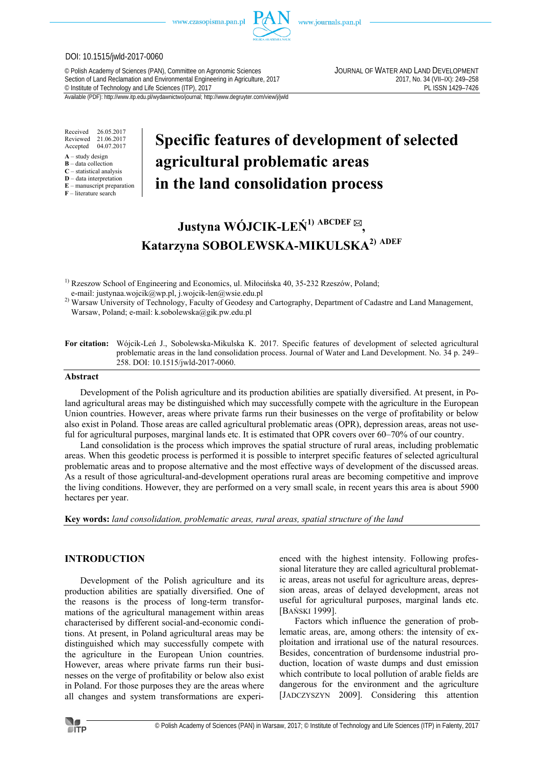

#### DOI: 10.1515/jwld-2017-0060

© Polish Academy of Sciences (PAN), Committee on Agronomic Sciences JOURNAL OF WATER AND LAND DEVELOPMENT Section of Land Reclamation and Environmental Engineering in Agriculture, 2017<br>
© Institute of Technology and Life Sciences (ITP), 2017<br>
PL ISSN 1429-7426 <sup>©</sup> Institute of Technology and Life Sciences (ITP), 2017

Available (PDF): http://www.itp.edu.pl/wydawnictwo/journal; http://www.degruyter.com/view/j/jwld

Received 26.05.2017 Reviewed 21.06.2017<br>Accented 04.07.2017 Accepted

- **A** study design
- **B** data collection **C** – statistical analysis
- **D** data interpretation
- **E** manuscript preparation **F** – literature search

# **Specific features of development of selected agricultural problematic areas**

**in the land consolidation process** 

## **Justyna WÓJCIK-LEŃ1) ABCDEF , Katarzyna SOBOLEWSKA-MIKULSKA2) ADEF**

<sup>1)</sup> Rzeszow School of Engineering and Economics, ul. Miłocińska 40, 35-232 Rzeszów, Poland; e-mail: justynaa.wojcik@wp.pl, j.wojcik-len@wsie.edu.pl

<sup>2)</sup> Warsaw University of Technology, Faculty of Geodesy and Cartography, Department of Cadastre and Land Management, Warsaw, Poland; e-mail: k.sobolewska@gik.pw.edu.pl

**For citation:** Wójcik-Leń J., Sobolewska-Mikulska K. 2017. Specific features of development of selected agricultural problematic areas in the land consolidation process. Journal of Water and Land Development. No. 34 p. 249– 258. DOI: 10.1515/jwld-2017-0060.

#### **Abstract**

Development of the Polish agriculture and its production abilities are spatially diversified. At present, in Poland agricultural areas may be distinguished which may successfully compete with the agriculture in the European Union countries. However, areas where private farms run their businesses on the verge of profitability or below also exist in Poland. Those areas are called agricultural problematic areas (OPR), depression areas, areas not useful for agricultural purposes, marginal lands etc. It is estimated that OPR covers over 60–70% of our country.

Land consolidation is the process which improves the spatial structure of rural areas, including problematic areas. When this geodetic process is performed it is possible to interpret specific features of selected agricultural problematic areas and to propose alternative and the most effective ways of development of the discussed areas. As a result of those agricultural-and-development operations rural areas are becoming competitive and improve the living conditions. However, they are performed on a very small scale, in recent years this area is about 5900 hectares per year.

**Key words:** *land consolidation, problematic areas, rural areas, spatial structure of the land* 

### **INTRODUCTION**

Development of the Polish agriculture and its production abilities are spatially diversified. One of the reasons is the process of long-term transformations of the agricultural management within areas characterised by different social-and-economic conditions. At present, in Poland agricultural areas may be distinguished which may successfully compete with the agriculture in the European Union countries. However, areas where private farms run their businesses on the verge of profitability or below also exist in Poland. For those purposes they are the areas where all changes and system transformations are experienced with the highest intensity. Following professional literature they are called agricultural problematic areas, areas not useful for agriculture areas, depression areas, areas of delayed development, areas not useful for agricultural purposes, marginal lands etc. [BAŃSKI 1999].

Factors which influence the generation of problematic areas, are, among others: the intensity of exploitation and irrational use of the natural resources. Besides, concentration of burdensome industrial production, location of waste dumps and dust emission which contribute to local pollution of arable fields are dangerous for the environment and the agriculture [JADCZYSZYN 2009]. Considering this attention

**TITP**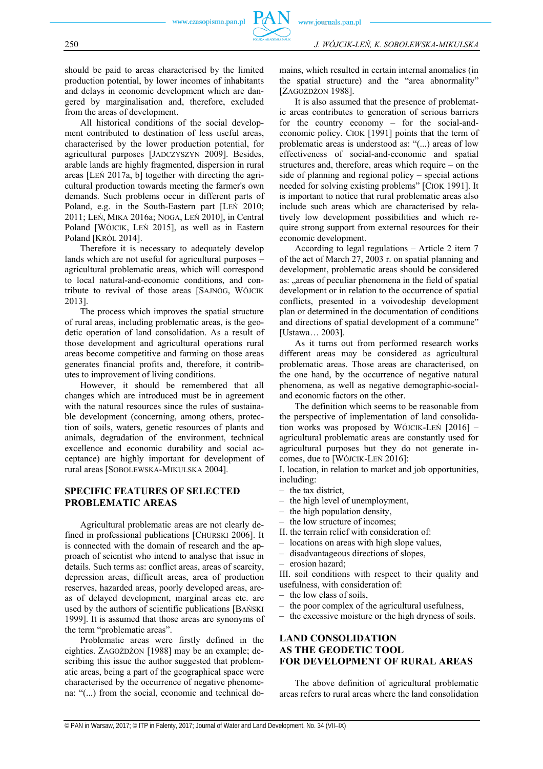should be paid to areas characterised by the limited production potential, by lower incomes of inhabitants and delays in economic development which are dangered by marginalisation and, therefore, excluded from the areas of development.

All historical conditions of the social development contributed to destination of less useful areas, characterised by the lower production potential, for agricultural purposes [JADCZYSZYN 2009]. Besides, arable lands are highly fragmented, dispersion in rural areas [LEŃ 2017a, b] together with directing the agricultural production towards meeting the farmer's own demands. Such problems occur in different parts of Poland, e.g. in the South-Eastern part [LEŃ 2010; 2011; LEŃ, MIKA 2016a; NOGA, LEŃ 2010], in Central Poland [WÓJCIK, LEŃ 2015], as well as in Eastern Poland [KRÓL 2014].

Therefore it is necessary to adequately develop lands which are not useful for agricultural purposes – agricultural problematic areas, which will correspond to local natural-and-economic conditions, and contribute to revival of those areas [SAJNÓG, WÓJCIK 2013].

The process which improves the spatial structure of rural areas, including problematic areas, is the geodetic operation of land consolidation. As a result of those development and agricultural operations rural areas become competitive and farming on those areas generates financial profits and, therefore, it contributes to improvement of living conditions.

However, it should be remembered that all changes which are introduced must be in agreement with the natural resources since the rules of sustainable development (concerning, among others, protection of soils, waters, genetic resources of plants and animals, degradation of the environment, technical excellence and economic durability and social acceptance) are highly important for development of rural areas [SOBOLEWSKA-MIKULSKA 2004].

## **SPECIFIC FEATURES OF SELECTED PROBLEMATIC AREAS**

Agricultural problematic areas are not clearly defined in professional publications [CHURSKI 2006]. It is connected with the domain of research and the approach of scientist who intend to analyse that issue in details. Such terms as: conflict areas, areas of scarcity, depression areas, difficult areas, area of production reserves, hazarded areas, poorly developed areas, areas of delayed development, marginal areas etc. are used by the authors of scientific publications [BAŃSKI 1999]. It is assumed that those areas are synonyms of the term "problematic areas".

Problematic areas were firstly defined in the eighties. ZAGOŻDŻON [1988] may be an example; describing this issue the author suggested that problematic areas, being a part of the geographical space were characterised by the occurrence of negative phenomena: "(...) from the social, economic and technical domains, which resulted in certain internal anomalies (in the spatial structure) and the "area abnormality" [ZAGOŻDŻON 1988].

It is also assumed that the presence of problematic areas contributes to generation of serious barriers for the country economy – for the social-andeconomic policy. CIOK [1991] points that the term of problematic areas is understood as: "(...) areas of low effectiveness of social-and-economic and spatial structures and, therefore, areas which require – on the side of planning and regional policy – special actions needed for solving existing problems" [CIOK 1991]. It is important to notice that rural problematic areas also include such areas which are characterised by relatively low development possibilities and which require strong support from external resources for their economic development.

According to legal regulations – Article 2 item 7 of the act of March 27, 2003 r. on spatial planning and development, problematic areas should be considered as: "areas of peculiar phenomena in the field of spatial development or in relation to the occurrence of spatial conflicts, presented in a voivodeship development plan or determined in the documentation of conditions and directions of spatial development of a commune" [Ustawa… 2003].

As it turns out from performed research works different areas may be considered as agricultural problematic areas. Those areas are characterised, on the one hand, by the occurrence of negative natural phenomena, as well as negative demographic-socialand economic factors on the other.

The definition which seems to be reasonable from the perspective of implementation of land consolidation works was proposed by WÓJCIK-LEŃ [2016] – agricultural problematic areas are constantly used for agricultural purposes but they do not generate incomes, due to [WÓJCIK-LEŃ 2016]:

I. location, in relation to market and job opportunities, including:

- the tax district,
- the high level of unemployment,
- the high population density,
- the low structure of incomes;
- II. the terrain relief with consideration of:
- locations on areas with high slope values,
- disadvantageous directions of slopes,
- erosion hazard;

III. soil conditions with respect to their quality and usefulness, with consideration of:

- the low class of soils,
- the poor complex of the agricultural usefulness,
- the excessive moisture or the high dryness of soils.

## **LAND CONSOLIDATION AS THE GEODETIC TOOL FOR DEVELOPMENT OF RURAL AREAS**

The above definition of agricultural problematic areas refers to rural areas where the land consolidation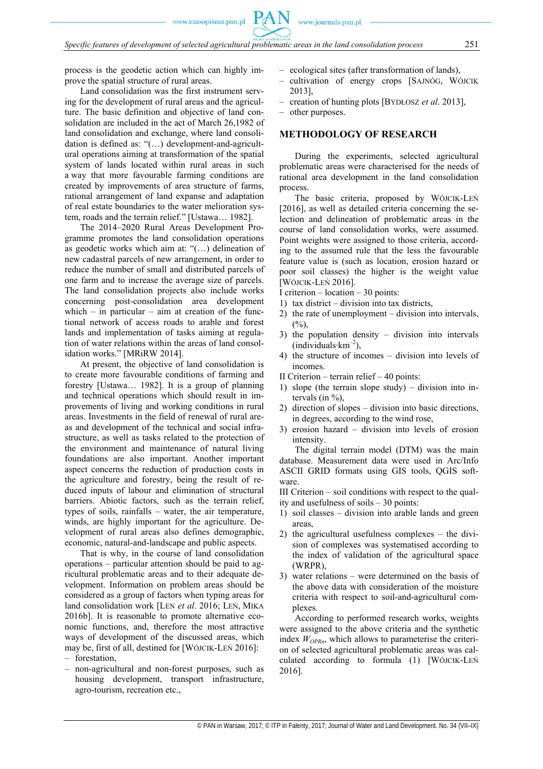process is the geodetic action which can highly improve the spatial structure of rural areas.

Land consolidation was the first instrument serving for the development of rural areas and the agriculture. The basic definition and objective of land consolidation are included in the act of March 26,1982 of land consolidation and exchange, where land consolidation is defined as: "(…) development-and-agricultural operations aiming at transformation of the spatial system of lands located within rural areas in such a way that more favourable farming conditions are created by improvements of area structure of farms, rational arrangement of land expanse and adaptation of real estate boundaries to the water melioration system, roads and the terrain relief." [Ustawa… 1982].

The 2014–2020 Rural Areas Development Programme promotes the land consolidation operations as geodetic works which aim at: "(…) delineation of new cadastral parcels of new arrangement, in order to reduce the number of small and distributed parcels of one farm and to increase the average size of parcels. The land consolidation projects also include works concerning post-consolidation area development which – in particular – aim at creation of the functional network of access roads to arable and forest lands and implementation of tasks aiming at regulation of water relations within the areas of land consolidation works." [MRiRW 2014].

At present, the objective of land consolidation is to create more favourable conditions of farming and forestry [Ustawa… 1982]. It is a group of planning and technical operations which should result in improvements of living and working conditions in rural areas. Investments in the field of renewal of rural areas and development of the technical and social infrastructure, as well as tasks related to the protection of the environment and maintenance of natural living foundations are also important. Another important aspect concerns the reduction of production costs in the agriculture and forestry, being the result of reduced inputs of labour and elimination of structural barriers. Abiotic factors, such as the terrain relief, types of soils, rainfalls – water, the air temperature, winds, are highly important for the agriculture. Development of rural areas also defines demographic, economic, natural-and-landscape and public aspects.

That is why, in the course of land consolidation operations – particular attention should be paid to agricultural problematic areas and to their adequate development. Information on problem areas should be considered as a group of factors when typing areas for land consolidation work [LEN *et al*. 2016; LEŃ, MIKA 2016b]. It is reasonable to promote alternative economic functions, and, therefore the most attractive ways of development of the discussed areas, which may be, first of all, destined for [WÓJCIK-LEŃ 2016]:

– non-agricultural and non-forest purposes, such as housing development, transport infrastructure, agro-tourism, recreation etc.,

- ecological sites (after transformation of lands),
- cultivation of energy crops [SAJNÓG, WÓJCIK 2013],
- creation of hunting plots [BYDŁOSZ *et al*. 2013],
- other purposes.

#### **METHODOLOGY OF RESEARCH**

During the experiments, selected agricultural problematic areas were characterised for the needs of rational area development in the land consolidation process.

The basic criteria, proposed by WÓJCIK-LEŃ [2016], as well as detailed criteria concerning the selection and delineation of problematic areas in the course of land consolidation works, were assumed. Point weights were assigned to those criteria, according to the assumed rule that the less the favourable feature value is (such as location, erosion hazard or poor soil classes) the higher is the weight value [WÓJCIK-LEŃ 2016].

I criterion – location – 30 points:

- 1) tax district division into tax districts,
- 2) the rate of unemployment division into intervals,  $(\%)$
- 3) the population density division into intervals (individuals∙km–2),
- 4) the structure of incomes division into levels of incomes.
- II Criterion terrain relief 40 points:
- 1) slope (the terrain slope study) division into intervals (in %),
- 2) direction of slopes division into basic directions, in degrees, according to the wind rose,
- 3) erosion hazard division into levels of erosion intensity.

The digital terrain model (DTM) was the main database. Measurement data were used in Arc/Info ASCII GRID formats using GIS tools, QGIS software.

III Criterion – soil conditions with respect to the quality and usefulness of soils – 30 points:

- 1) soil classes division into arable lands and green areas,
- 2) the agricultural usefulness complexes the division of complexes was systematised according to the index of validation of the agricultural space (WRPR),
- 3) water relations were determined on the basis of the above data with consideration of the moisture criteria with respect to soil-and-agricultural complexes.

According to performed research works, weights were assigned to the above criteria and the synthetic index  $W_{OPRn}$ , which allows to parameterise the criterion of selected agricultural problematic areas was calculated according to formula (1) [WÓJCIK-LEŃ 2016].

<sup>–</sup> forestation,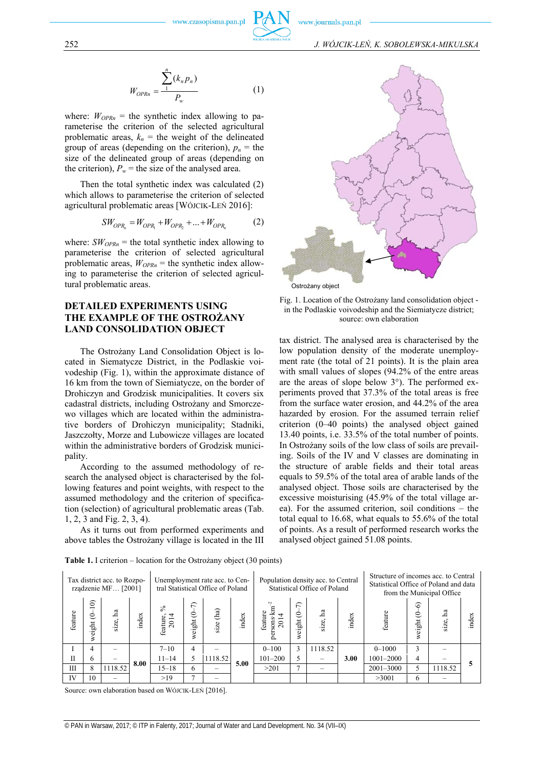

www.journals.pan.pl

$$
W_{OPRn} = \frac{\sum_{1}^{n} (k_n p_n)}{P_w}
$$
 (1)

where:  $W_{OPRn}$  = the synthetic index allowing to parameterise the criterion of the selected agricultural problematic areas,  $k_n$  = the weight of the delineated group of areas (depending on the criterion),  $p_n =$  the size of the delineated group of areas (depending on the criterion),  $P_w$  = the size of the analysed area.

Then the total synthetic index was calculated (2) which allows to parameterise the criterion of selected agricultural problematic areas [WÓJCIK-LEŃ 2016]:

$$
SW_{OPR_n} = W_{OPR_1} + W_{OPR_2} + \dots + W_{OPR_n}
$$
 (2)

where:  $SW<sub>OPRn</sub>$  = the total synthetic index allowing to parameterise the criterion of selected agricultural problematic areas,  $W_{OPRn}$  = the synthetic index allowing to parameterise the criterion of selected agricultural problematic areas.

## **DETAILED EXPERIMENTS USING THE EXAMPLE OF THE OSTROŻANY LAND CONSOLIDATION OBJECT**

The Ostrożany Land Consolidation Object is located in Siematycze District, in the Podlaskie voivodeship (Fig. 1), within the approximate distance of 16 km from the town of Siemiatycze, on the border of Drohiczyn and Grodzisk municipalities. It covers six cadastral districts, including Ostrożany and Smorczewo villages which are located within the administrative borders of Drohiczyn municipality; Stadniki, Jaszczołty, Morze and Lubowicze villages are located within the administrative borders of Grodzisk municipality.

According to the assumed methodology of research the analysed object is characterised by the following features and point weights, with respect to the assumed methodology and the criterion of specification (selection) of agricultural problematic areas (Tab. 1, 2, 3 and Fig. 2, 3, 4).

As it turns out from performed experiments and above tables the Ostrożany village is located in the III



Fig. 1. Location of the Ostrożany land consolidation object in the Podlaskie voivodeship and the Siemiatycze district; source: own elaboration

tax district. The analysed area is characterised by the low population density of the moderate unemployment rate (the total of 21 points). It is the plain area with small values of slopes (94.2% of the entre areas are the areas of slope below 3°). The performed experiments proved that 37.3% of the total areas is free from the surface water erosion, and 44.2% of the area hazarded by erosion. For the assumed terrain relief criterion (0–40 points) the analysed object gained 13.40 points, i.e. 33.5% of the total number of points. In Ostrożany soils of the low class of soils are prevailing. Soils of the IV and V classes are dominating in the structure of arable fields and their total areas equals to 59.5% of the total area of arable lands of the analysed object. Those soils are characterised by the excessive moisturising (45.9% of the total village area). For the assumed criterion, soil conditions – the total equal to 16.68, what equals to 55.6% of the total of points. As a result of performed research works the analysed object gained 51.08 points.

| Tax district acc. to Rozpo-<br>rządzenie MF [2001] |                                         |             |       | Unemployment rate acc. to Cen-       | tral Statistical Office of Poland                 |              | Population density acc. to Central<br>Statistical Office of Poland |                                          |                                 |             | Structure of incomes acc. to Central<br>Statistical Office of Poland and data<br>from the Municipal Office |               |                        |            |       |
|----------------------------------------------------|-----------------------------------------|-------------|-------|--------------------------------------|---------------------------------------------------|--------------|--------------------------------------------------------------------|------------------------------------------|---------------------------------|-------------|------------------------------------------------------------------------------------------------------------|---------------|------------------------|------------|-------|
| feature                                            | $\widehat{\circ}$<br>⊂<br>$\frac{1}{2}$ | La<br>size. | index | న<br>$\cdot$ 4<br>υ<br>201<br>featur | $\widehat{\pi}$<br>S<br>$\frac{1}{11}$<br>∵ë<br>≫ | (ha)<br>size | index                                                              | feature<br>$\overline{ }$<br>sons<br>201 | $\widehat{\sim}$<br>É<br>weight | ha<br>size. | index                                                                                                      | feature       | $\odot$<br>Š<br>weight | д<br>size. | index |
|                                                    | 4                                       |             |       | $7 - 10$                             | 4                                                 |              |                                                                    | $0 - 100$                                | 3                               | 1118.52     |                                                                                                            | $0 - 1000$    | 3                      |            |       |
| $\mathbf{H}$                                       | 6                                       |             | 8.00  | $11 - 14$                            | 5                                                 | 1118.52      | 5.00                                                               | $101 - 200$                              | 5                               |             | 3.00                                                                                                       | $1001 - 2000$ | 4                      |            |       |
| Ш                                                  | 8                                       | 1118.52     |       | $15 - 18$                            | 6                                                 |              |                                                                    | >201                                     | 7                               |             |                                                                                                            | 2001-3000     | 5                      | 1118.52    |       |
| IV                                                 | 10                                      |             |       | >19                                  |                                                   |              |                                                                    |                                          |                                 |             |                                                                                                            | >3001         | 6                      |            |       |

**Table 1.** I criterion – location for the Ostrożany object (30 points)

Source: own elaboration based on WÓJCIK-LEŃ [2016].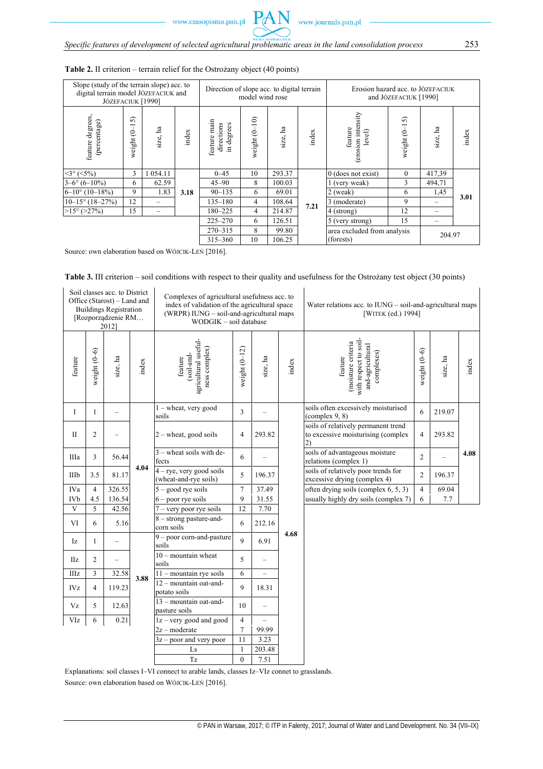$Pf$ 

| Slope (study of the terrain slope) acc. to<br>digital terrain model JÓZEFACIUK and<br>JÓZEFACIUK [1990] |                       |                                                                     |         | Direction of slope acc. to digital terrain | model wind rose             |        |                                        | Erosion hazard acc. to JÓZEFACIUK<br>and JÓZEFACIUK [1990] |             |        |      |  |
|---------------------------------------------------------------------------------------------------------|-----------------------|---------------------------------------------------------------------|---------|--------------------------------------------|-----------------------------|--------|----------------------------------------|------------------------------------------------------------|-------------|--------|------|--|
| feature degrees,<br>(percentage)                                                                        | ନ<br>↽<br>€<br>weight | feature main<br>degrees<br>directions<br>ha<br>index<br>size,<br>Ξ. |         | weight (0-10)                              | ha<br>size,                 | index  | erosion intensity<br>feature<br>level) | $-15$<br>weight (0                                         | ha<br>size, |        |      |  |
| $\langle 3^{\circ} (\langle 5\% \rangle$                                                                | 3                     | 1 0 54.11                                                           |         | $0 - 45$                                   | 10                          | 293.37 |                                        | $0$ (does not exist)                                       | $\theta$    | 417,39 |      |  |
| $3-6^{\circ}$ (6-10%)                                                                                   | 6                     | 62.59                                                               |         | $45 - 90$                                  | 8                           | 100.03 |                                        | (very weak)                                                | 3           | 494,71 |      |  |
| $6-10^{\circ}$ (10-18%)                                                                                 | 9                     | 1.83                                                                | 3.18    | $90 - 135$                                 | 6                           | 69.01  |                                        | $2$ (weak)                                                 | 6           | 1,45   |      |  |
| $10-15^{\circ}$ (18-27%)                                                                                | 12                    |                                                                     |         | $135 - 180$                                | 4                           | 108.64 | 7.21                                   | 3 (moderate)                                               | 9           |        | 3.01 |  |
| $>15^{\circ}$ ( $>27\%$ )                                                                               | 15<br>-               |                                                                     | 180-225 | 4                                          | 214.87                      |        | 4 (strong)                             | 12                                                         |             |        |      |  |
|                                                                                                         |                       |                                                                     |         | $225 - 270$                                | 6                           | 126.51 |                                        | 5 (very strong)                                            | 15          |        |      |  |
|                                                                                                         | $270 - 315$           | 8                                                                   | 99.80   |                                            | area excluded from analysis | 204.97 |                                        |                                                            |             |        |      |  |
|                                                                                                         |                       |                                                                     |         | $315 - 360$                                | 10                          | 106.25 |                                        | (forests)                                                  |             |        |      |  |

**Table 2.** II criterion – terrain relief for the Ostrożany object (40 points)

Source: own elaboration based on WÓJCIK-LEŃ [2016].

 $\overline{\phantom{a}}$ 

**Table 3.** III criterion – soil conditions with respect to their quality and usefulness for the Ostrożany test object (30 points)

 $\overline{\phantom{a}}$ 

| Soil classes acc. to District<br>Office (Starost) – Land and<br><b>Buildings Registration</b><br>[Rozporządzenie RM<br>2012] |                |                          |       | Complexes of agricultural usefulness acc. to<br>index of validation of the agricultural space<br>(WRPR) IUNG - soil-and-agricultural maps<br>WODGIK - soil database |                                                     |                          |       | Water relations acc. to IUNG - soil-and-agricultural maps<br>[WITEK (ed.) 1994]          |                |          |       |  |
|------------------------------------------------------------------------------------------------------------------------------|----------------|--------------------------|-------|---------------------------------------------------------------------------------------------------------------------------------------------------------------------|-----------------------------------------------------|--------------------------|-------|------------------------------------------------------------------------------------------|----------------|----------|-------|--|
| feature                                                                                                                      | weight $(0-6)$ | size, ha                 | index | agricultural useful-<br>ness complex)<br>soil-and-<br>feature                                                                                                       | weight $(0-12)$                                     | size, ha                 | index | with respect to soil-<br>(moisture criteria<br>and-agricultural<br>complexes)<br>feature | weight $(0-6)$ | size, ha | index |  |
| I                                                                                                                            | 1              | ▃                        |       | $1$ – wheat, very good<br>soils                                                                                                                                     | 3                                                   | ÷                        |       | soils often excessively moisturised<br>$\text{(complex } 9, 8)$                          | 6              | 219.07   |       |  |
| $\mathbf{I}$                                                                                                                 | $\overline{2}$ |                          |       | $2$ – wheat, good soils                                                                                                                                             | $\overline{4}$                                      | 293.82                   |       | soils of relatively permanent trend<br>to excessive moisturising (complex<br>2)          | $\overline{4}$ | 293.82   |       |  |
| IIIa                                                                                                                         | $\overline{3}$ | 56.44                    |       | $3$ – wheat soils with de-<br>fects                                                                                                                                 | 6                                                   |                          |       | soils of advantageous moisture<br>relations (complex 1)                                  | $\overline{2}$ |          | 4.08  |  |
| IIIb                                                                                                                         | 3.5            | 81.17                    | 4.04  | $4 - rye$ , very good soils<br>(wheat-and-rye soils)                                                                                                                | 5                                                   | 196.37                   |       | soils of relatively poor trends for<br>excessive drying (complex 4)                      | $\overline{2}$ | 196.37   |       |  |
| <b>IVa</b>                                                                                                                   | $\overline{4}$ | 326.55                   |       | $5 -$ good rye soils                                                                                                                                                | $\overline{7}$                                      | 37.49                    |       | often drying soils (complex 6, 5, 3)                                                     | $\overline{4}$ | 69.04    |       |  |
| IVb                                                                                                                          | 4.5            | 136.54                   |       | $6$ – poor rye soils                                                                                                                                                | 9                                                   | 31.55                    |       | usually highly dry soils (complex 7)                                                     | 6              | 7.7      |       |  |
| $\mathbf{V}$                                                                                                                 | 5              | 42.56                    |       | $7 -$ very poor rye soils                                                                                                                                           | 12                                                  | 7.70                     |       |                                                                                          |                |          |       |  |
| VI                                                                                                                           | 6              | 5.16                     |       | $8 -$ strong pasture-and-<br>corn soils                                                                                                                             | 6                                                   | 212.16                   |       |                                                                                          |                |          |       |  |
| Iz                                                                                                                           | 1              | $\overline{\phantom{0}}$ |       | $9 -$ poor corn-and-pasture<br>soils                                                                                                                                | 9                                                   | 6.91                     | 4.68  |                                                                                          |                |          |       |  |
| $\rm Hz$                                                                                                                     | $\overline{c}$ |                          |       | $10 -$ mountain wheat<br>soils                                                                                                                                      | 5                                                   | $\overline{\phantom{0}}$ |       |                                                                                          |                |          |       |  |
| <b>IIIz</b>                                                                                                                  | $\overline{3}$ | 32.58                    | 3.88  | 11 - mountain rye soils                                                                                                                                             | 6                                                   | $\equiv$                 |       |                                                                                          |                |          |       |  |
| <b>IVz</b>                                                                                                                   | $\overline{4}$ | 119.23                   |       |                                                                                                                                                                     | $\overline{12}$ - mountain oat-and-<br>potato soils | 9                        | 18.31 |                                                                                          |                |          |       |  |
| Vz                                                                                                                           | 5              | 12.63                    |       | $13 -$ mountain oat-and-<br>pasture soils                                                                                                                           | 10                                                  |                          |       |                                                                                          |                |          |       |  |
| VIz                                                                                                                          | 6<br>0.21      |                          |       | $1z - \text{very good and good}$                                                                                                                                    | $\overline{4}$                                      |                          |       |                                                                                          |                |          |       |  |
|                                                                                                                              |                |                          |       | $2z$ – moderate                                                                                                                                                     | $\overline{7}$                                      | 99.99                    |       |                                                                                          |                |          |       |  |
|                                                                                                                              |                |                          |       | $3z$ – poor and very poor                                                                                                                                           | 11                                                  | 3.23                     |       |                                                                                          |                |          |       |  |
|                                                                                                                              |                |                          |       | Ls                                                                                                                                                                  | $\mathbf{1}$                                        | 203.48                   |       |                                                                                          |                |          |       |  |
|                                                                                                                              |                |                          |       | Tz                                                                                                                                                                  | $\theta$                                            | 7.51                     |       |                                                                                          |                |          |       |  |

Explanations: soil classes I–VI connect to arable lands, classes Iz–VIz connet to grasslands. Source: own elaboration based on WÓJCIK-LEŃ [2016].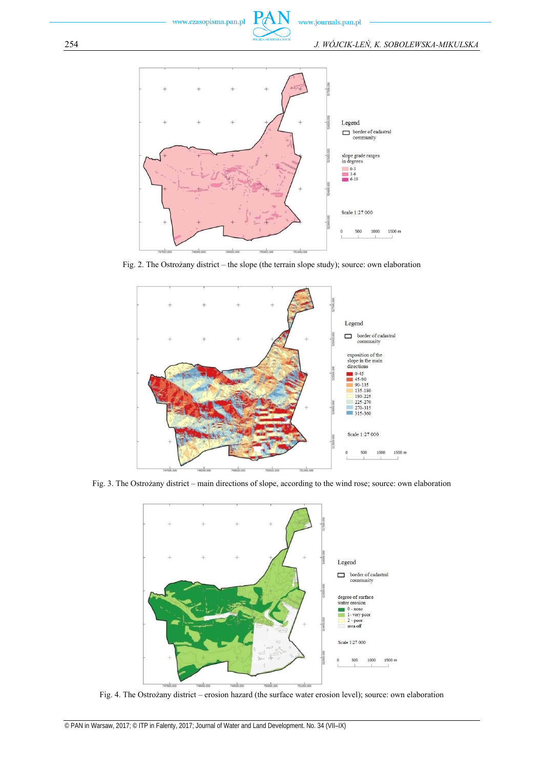





 $P_{d}$ 

ιN

Fig. 2. The Ostrożany district – the slope (the terrain slope study); source: own elaboration



Fig. 3. The Ostrożany district – main directions of slope, according to the wind rose; source: own elaboration



Fig. 4. The Ostrożany district – erosion hazard (the surface water erosion level); source: own elaboration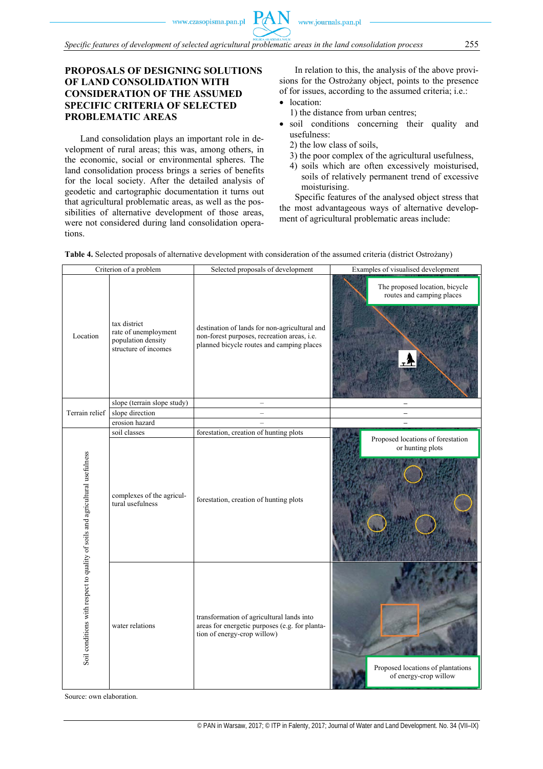## **PROPOSALS OF DESIGNING SOLUTIONS OF LAND CONSOLIDATION WITH CONSIDERATION OF THE ASSUMED SPECIFIC CRITERIA OF SELECTED PROBLEMATIC AREAS**

Land consolidation plays an important role in development of rural areas; this was, among others, in the economic, social or environmental spheres. The land consolidation process brings a series of benefits for the local society. After the detailed analysis of geodetic and cartographic documentation it turns out that agricultural problematic areas, as well as the possibilities of alternative development of those areas, were not considered during land consolidation operations.

In relation to this, the analysis of the above provisions for the Ostrożany object, points to the presence of for issues, according to the assumed criteria; i.e.:

location:

1) the distance from urban centres;

- soil conditions concerning their quality and usefulness:
- 2) the low class of soils,
- 3) the poor complex of the agricultural usefulness,
- 4) soils which are often excessively moisturised, soils of relatively permanent trend of excessive moisturising.

Specific features of the analysed object stress that the most advantageous ways of alternative development of agricultural problematic areas include:

|                                                                              | Criterion of a problem                                                             | Selected proposals of development                                                                                                         | Examples of visualised development                          |  |  |  |
|------------------------------------------------------------------------------|------------------------------------------------------------------------------------|-------------------------------------------------------------------------------------------------------------------------------------------|-------------------------------------------------------------|--|--|--|
| Location                                                                     | tax district<br>rate of unemployment<br>population density<br>structure of incomes | destination of lands for non-agricultural and<br>non-forest purposes, recreation areas, i.e.<br>planned bicycle routes and camping places | The proposed location, bicycle<br>routes and camping places |  |  |  |
|                                                                              | slope (terrain slope study)                                                        | $\qquad \qquad -$                                                                                                                         | -                                                           |  |  |  |
| Terrain relief                                                               | slope direction                                                                    | $\overline{\phantom{0}}$                                                                                                                  |                                                             |  |  |  |
|                                                                              | erosion hazard                                                                     |                                                                                                                                           |                                                             |  |  |  |
|                                                                              | soil classes                                                                       | forestation, creation of hunting plots                                                                                                    | Proposed locations of forestation                           |  |  |  |
| Soil conditions with respect to quality of soils and agricultural usefulness | complexes of the agricul-<br>tural usefulness                                      | forestation, creation of hunting plots                                                                                                    | or hunting plots                                            |  |  |  |
|                                                                              | water relations                                                                    | transformation of agricultural lands into<br>areas for energetic purposes (e.g. for planta-<br>tion of energy-crop willow)                | Proposed locations of plantations<br>of energy-crop willow  |  |  |  |

**Table 4.** Selected proposals of alternative development with consideration of the assumed criteria (district Ostrożany)

Source: own elaboration.

© PAN in Warsaw, 2017; © ITP in Falenty, 2017; Journal of Water and Land Development. No. 34 (VII–IX)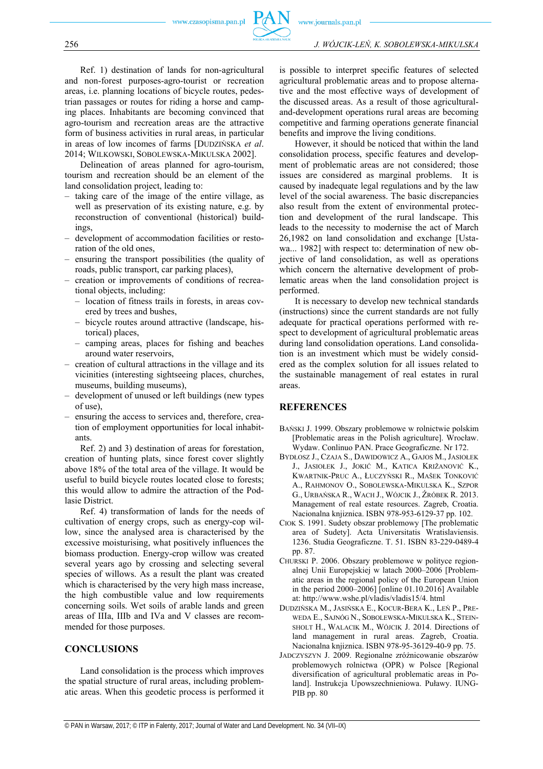Ref. 1) destination of lands for non-agricultural and non-forest purposes-agro-tourist or recreation areas, i.e. planning locations of bicycle routes, pedestrian passages or routes for riding a horse and camping places. Inhabitants are becoming convinced that agro-tourism and recreation areas are the attractive form of business activities in rural areas, in particular in areas of low incomes of farms [DUDZIŃSKA *et al*. 2014; WILKOWSKI, SOBOLEWSKA-MIKULSKA 2002].

Delineation of areas planned for agro-tourism, tourism and recreation should be an element of the land consolidation project, leading to:

- taking care of the image of the entire village, as well as preservation of its existing nature, e.g. by reconstruction of conventional (historical) buildings,
- development of accommodation facilities or restoration of the old ones,
- ensuring the transport possibilities (the quality of roads, public transport, car parking places),
- creation or improvements of conditions of recreational objects, including:
	- location of fitness trails in forests, in areas covered by trees and bushes,
	- bicycle routes around attractive (landscape, historical) places,
	- camping areas, places for fishing and beaches around water reservoirs,
- creation of cultural attractions in the village and its vicinities (interesting sightseeing places, churches, museums, building museums),
- development of unused or left buildings (new types of use),
- ensuring the access to services and, therefore, creation of employment opportunities for local inhabitants.

Ref. 2) and 3) destination of areas for forestation, creation of hunting plats, since forest cover slightly above 18% of the total area of the village. It would be useful to build bicycle routes located close to forests; this would allow to admire the attraction of the Podlasie District.

Ref. 4) transformation of lands for the needs of cultivation of energy crops, such as energy-cop willow, since the analysed area is characterised by the excessive moisturising, what positively influences the biomass production. Energy-crop willow was created several years ago by crossing and selecting several species of willows. As a result the plant was created which is characterised by the very high mass increase, the high combustible value and low requirements concerning soils. Wet soils of arable lands and green areas of IIIa, IIIb and IVa and V classes are recommended for those purposes.

### **CONCLUSIONS**

Land consolidation is the process which improves the spatial structure of rural areas, including problematic areas. When this geodetic process is performed it is possible to interpret specific features of selected agricultural problematic areas and to propose alternative and the most effective ways of development of the discussed areas. As a result of those agriculturaland-development operations rural areas are becoming competitive and farming operations generate financial benefits and improve the living conditions.

However, it should be noticed that within the land consolidation process, specific features and development of problematic areas are not considered; those issues are considered as marginal problems. It is caused by inadequate legal regulations and by the law level of the social awareness. The basic discrepancies also result from the extent of environmental protection and development of the rural landscape. This leads to the necessity to modernise the act of March 26,1982 on land consolidation and exchange [Ustawa... 1982] with respect to: determination of new objective of land consolidation, as well as operations which concern the alternative development of problematic areas when the land consolidation project is performed.

It is necessary to develop new technical standards (instructions) since the current standards are not fully adequate for practical operations performed with respect to development of agricultural problematic areas during land consolidation operations. Land consolidation is an investment which must be widely considered as the complex solution for all issues related to the sustainable management of real estates in rural areas.

### **REFERENCES**

- BAŃSKI J. 1999. Obszary problemowe w rolnictwie polskim [Problematic areas in the Polish agriculture]. Wrocław. Wydaw. Conlinuo PAN. Prace Geograficzne. Nr 172.
- BYDŁOSZ J., CZAJA S., DAWIDOWICZ A., GAJOS M., JASIOŁEK J., JASIOŁEK J., JOKIĆ M., KATICA KRIŽANOVIĆ K., KWARTNIK-PRUC A., ŁUCZYŃSKI R., MAŠEK TONKOVIĆ A., RAHMONOV O., SOBOLEWSKA-MIKULSKA K., SZPOR G., URBAŃSKA R., WACH J., WÓJCIK J., ŹRÓBEK R. 2013. Management of real estate resources. Zagreb, Croatia. Nacionalna knjiznica. ISBN 978-953-6129-37 pp. 102.
- CIOK S. 1991. Sudety obszar problemowy [The problematic area of Sudety]. Acta Universitatis Wratislaviensis. 1236. Studia Geograficzne. T. 51. ISBN 83-229-0489-4 pp. 87.
- CHURSKI P. 2006. Obszary problemowe w polityce regionalnej Unii Europejskiej w latach 2000–2006 [Problematic areas in the regional policy of the European Union in the period 2000–2006] [online 01.10.2016] Available at: http://www.wshe.pl/vladis/vladis15/4. html
- DUDZIŃSKA M., JASIŃSKA E., KOCUR-BERA K., LEŃ P., PRE-WEDA E., SAJNÓG N., SOBOLEWSKA-MIKULSKA K., STEIN-SHOLT H., WALACIK M., WÓJCIK J. 2014. Directions of land management in rural areas. Zagreb, Croatia. Nacionalna knjiznica. ISBN 978-95-36129-40-9 pp. 75.
- JADCZYSZYN J. 2009. Regionalne zróżnicowanie obszarów problemowych rolnictwa (OPR) w Polsce [Regional diversification of agricultural problematic areas in Poland]. Instrukcja Upowszechnieniowa. Puławy. IUNG-PIB pp. 80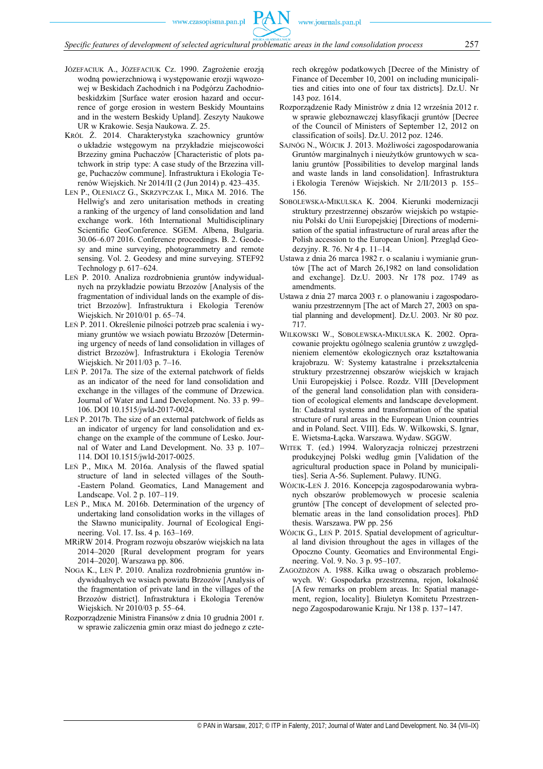- JÓZEFACIUK A., JÓZEFACIUK Cz. 1990. Zagrożenie erozją wodną powierzchniową i występowanie erozji wąwozowej w Beskidach Zachodnich i na Podgórzu Zachodniobeskidzkim [Surface water erosion hazard and occurrence of gorge erosion in western Beskidy Mountains and in the western Beskidy Upland]. Zeszyty Naukowe UR w Krakowie. Sesja Naukowa. Z. 25.
- KRÓL Ż. 2014. Charakterystyka szachownicy gruntów o układzie wstęgowym na przykładzie miejscowości Brzeziny gmina Puchaczów [Characteristic of plots patchwork in strip type: A case study of the Brzezina villge, Puchaczów commune]. Infrastruktura i Ekologia Terenów Wiejskich. Nr 2014/II (2 (Jun 2014) p. 423–435.
- LEN P., OLENIACZ G., SKRZYPCZAK I., MIKA M. 2016. The Hellwig's and zero unitarisation methods in creating a ranking of the urgency of land consolidation and land exchange work. 16th International Multidisciplinary Scientific GeoConference. SGEM. Albena, Bulgaria. 30.06–6.07 2016. Conference proceedings. B. 2. Geodesy and mine surveying, photogrammetry and remote sensing. Vol. 2. Geodesy and mine surveying. STEF92 Technology p. 617–624.
- LEŃ P. 2010. Analiza rozdrobnienia gruntów indywidualnych na przykładzie powiatu Brzozów [Analysis of the fragmentation of individual lands on the example of district Brzozów]. Infrastruktura i Ekologia Terenów Wiejskich. Nr 2010/01 p. 65–74.
- LEŃ P. 2011. Określenie pilności potrzeb prac scalenia i wymiany gruntów we wsiach powiatu Brzozów [Determining urgency of needs of land consolidation in villages of district Brzozów]. Infrastruktura i Ekologia Terenów Wiejskich. Nr 2011/03 p. 7–16.
- LEŃ P. 2017a. The size of the external patchwork of fields as an indicator of the need for land consolidation and exchange in the villages of the commune of Drzewica. Journal of Water and Land Development. No. 33 p. 99– 106. DOI 10.1515/jwld-2017-0024.
- LEŃ P. 2017b. The size of an external patchwork of fields as an indicator of urgency for land consolidation and exchange on the example of the commune of Lesko. Journal of Water and Land Development. No. 33 p. 107– 114. DOI 10.1515/jwld-2017-0025.
- LEŃ P., MIKA M. 2016a. Analysis of the flawed spatial structure of land in selected villages of the South- -Eastern Poland. Geomatics, Land Management and Landscape. Vol. 2 p. 107–119.
- LEŃ P., MIKA M. 2016b. Determination of the urgency of undertaking land consolidation works in the villages of the Sławno municipality. Journal of Ecological Engineering. Vol. 17. Iss. 4 p. 163–169.
- MRiRW 2014. Program rozwoju obszarów wiejskich na lata 2014–2020 [Rural development program for years 2014–2020]. Warszawa pp. 806.
- NOGA K., LEŃ P. 2010. Analiza rozdrobnienia gruntów indywidualnych we wsiach powiatu Brzozów [Analysis of the fragmentation of private land in the villages of the Brzozów district]. Infrastruktura i Ekologia Terenów Wiejskich. Nr 2010/03 p. 55–64.
- Rozporządzenie Ministra Finansów z dnia 10 grudnia 2001 r. w sprawie zaliczenia gmin oraz miast do jednego z czte-

rech okręgów podatkowych [Decree of the Ministry of Finance of December 10, 2001 on including municipalities and cities into one of four tax districts]. Dz.U. Nr 143 poz. 1614.

- Rozporządzenie Rady Ministrów z dnia 12 września 2012 r. w sprawie gleboznawczej klasyfikacji gruntów [Decree of the Council of Ministers of September 12, 2012 on classification of soils]. Dz.U. 2012 poz. 1246.
- SAJNÓG N., WÓJCIK J. 2013. Możliwości zagospodarowania Gruntów marginalnych i nieużytków gruntowych w scalaniu gruntów [Possibilities to develop marginal lands and waste lands in land consolidation]. Infrastruktura i Ekologia Terenów Wiejskich. Nr 2/II/2013 p. 155– 156.
- SOBOLEWSKA-MIKULSKA K. 2004. Kierunki modernizacji struktury przestrzennej obszarów wiejskich po wstąpieniu Polski do Unii Europejskiej [Directions of modernisation of the spatial infrastructure of rural areas after the Polish accession to the European Union]. Przegląd Geodezyjny. R. 76. Nr 4 p. 11–14.
- Ustawa z dnia 26 marca 1982 r. o scalaniu i wymianie gruntów [The act of March 26,1982 on land consolidation and exchange]. Dz.U. 2003. Nr 178 poz. 1749 as amendments.
- Ustawa z dnia 27 marca 2003 r. o planowaniu i zagospodarowaniu przestrzennym [The act of March 27, 2003 on spatial planning and development]. Dz.U. 2003. Nr 80 poz. 717.
- WILKOWSKI W., SOBOLEWSKA-MIKULSKA K. 2002. Opracowanie projektu ogólnego scalenia gruntów z uwzględnieniem elementów ekologicznych oraz kształtowania krajobrazu. W: Systemy katastralne i przekształcenia struktury przestrzennej obszarów wiejskich w krajach Unii Europejskiej i Polsce. Rozdz. VIII [Development of the general land consolidation plan with consideration of ecological elements and landscape development. In: Cadastral systems and transformation of the spatial structure of rural areas in the European Union countries and in Poland. Sect. VIII]. Eds. W. Wilkowski, S. Ignar, E. Wietsma-Łącka. Warszawa. Wydaw. SGGW.
- WITEK T. (ed.) 1994. Waloryzacja rolniczej przestrzeni produkcyjnej Polski według gmin [Validation of the agricultural production space in Poland by municipalities]. Seria A-56. Suplement. Puławy. IUNG.
- WÓJCIK-LEŃ J. 2016. Koncepcja zagospodarowania wybranych obszarów problemowych w procesie scalenia gruntów [The concept of development of selected problematic areas in the land consolidation proces]. PhD thesis. Warszawa. PW pp. 256
- WÓJCIK G., LEŃ P. 2015. Spatial development of agricultural land division throughout the ages in villages of the Opoczno County. Geomatics and Environmental Engineering. Vol. 9. No. 3 p. 95–107.
- ZAGOŻDŻON A. 1988. Kilka uwag o obszarach problemowych. W: Gospodarka przestrzenna, rejon, lokalność [A few remarks on problem areas. In: Spatial management, region, locality]. Biuletyn Komitetu Przestrzennego Zagospodarowanie Kraju. Nr 138 p. 137–147.